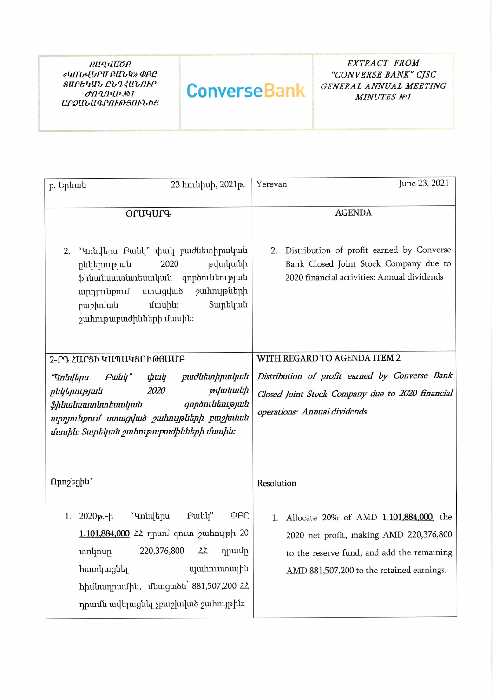**QUALUOQ** «ԿՈՆՎԵՐՍ ԲԱՆԿ» ՓԲԸ ՏԱՐԵԿԱՆ ԸՆԴՀԱՆՈՒՐ  $d$ Ո $Q$ Ո $Q$  $h$   $M$ <sup> $2$ </sup> $I$ ԱՐՁԱՆԱԳՐՈՒԹՅՈՒՆԻՑ

## **ConverseBank**

EXTRACT FROM "CONVERSE BANK" CJSC GENERAL ANNUAL MEETING **MINUTES №1** 

| p. Երևան  | 23 hnւնիսի, 2021թ.                                                                                    | June 23, 2021<br>Yerevan                                                               |  |  |
|-----------|-------------------------------------------------------------------------------------------------------|----------------------------------------------------------------------------------------|--|--|
|           |                                                                                                       |                                                                                        |  |  |
|           | <b>PUU4Ur4</b>                                                                                        | <b>AGENDA</b>                                                                          |  |  |
| 2.        | "Կոնվերս Բանկ" փակ բաժնետիրական<br>թվականի<br>2020<br>ընկերության                                     | 2. Distribution of profit earned by Converse<br>Bank Closed Joint Stock Company due to |  |  |
|           | ֆինանսատնտեսական գործունեության<br>ստացված շահույթների<br>արդյունքում<br>Տարեկան<br>մասին։<br>բաշխման | 2020 financial activities: Annual dividends                                            |  |  |
|           | շահութաբաժինների մասին։                                                                               |                                                                                        |  |  |
|           | 2-ՐԴ ՀԱՐՑԻ ԿԱՊԱԿՑՈՒԹՅԱՄԲ                                                                              | WITH REGARD TO AGENDA ITEM 2                                                           |  |  |
| "Կոնվերս  | Բանկ" փակ բաժնետիրական                                                                                | Distribution of profit earned by Converse Bank                                         |  |  |
|           | <i>2020</i><br>թվականի<br>րնկերության                                                                 | Closed Joint Stock Company due to 2020 financial                                       |  |  |
|           | գործունեության<br>ֆինանսատնտեսական<br>արդյունքում ստացված շահույթների բաշխման                         | operations: Annual dividends                                                           |  |  |
|           | մասին։ Տարեկան շահութաբաժինների մասին։                                                                |                                                                                        |  |  |
|           |                                                                                                       |                                                                                        |  |  |
|           |                                                                                                       |                                                                                        |  |  |
| Πրոշեցին` |                                                                                                       | Resolution                                                                             |  |  |
| 1.        | Բանկ"<br>"Կոնվերս<br>ወደር<br>2020թ.-ի                                                                  | Allocate 20% of AMD 1,101,884,000, the<br>1.                                           |  |  |
|           | 1,101,884,000 22 դրամ զուտ շահույթի 20                                                                | 2020 net profit, making AMD 220,376,800                                                |  |  |
|           | տոկոսը 220,376,800 ՀՀ դրամը                                                                           | to the reserve fund, and add the remaining                                             |  |  |
|           | պահուստային<br>հատկացնել                                                                              | AMD 881,507,200 to the retained earnings.                                              |  |  |
|           | hիմնադրամին, մնացածն՝ 881,507,200 22                                                                  |                                                                                        |  |  |
|           | դրամն ավելացնել չբաշխված շահույթին։                                                                   |                                                                                        |  |  |